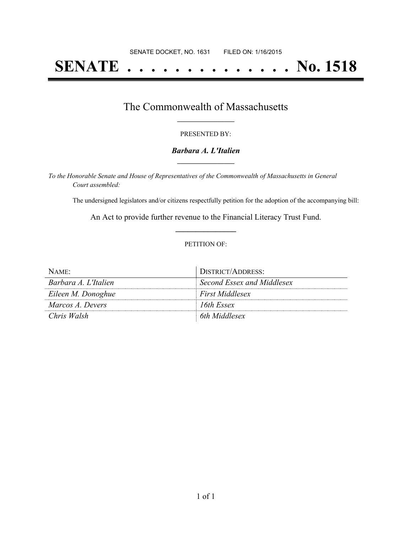# **SENATE . . . . . . . . . . . . . . No. 1518**

### The Commonwealth of Massachusetts **\_\_\_\_\_\_\_\_\_\_\_\_\_\_\_\_\_**

#### PRESENTED BY:

#### *Barbara A. L'Italien* **\_\_\_\_\_\_\_\_\_\_\_\_\_\_\_\_\_**

*To the Honorable Senate and House of Representatives of the Commonwealth of Massachusetts in General Court assembled:*

The undersigned legislators and/or citizens respectfully petition for the adoption of the accompanying bill:

An Act to provide further revenue to the Financial Literacy Trust Fund. **\_\_\_\_\_\_\_\_\_\_\_\_\_\_\_**

#### PETITION OF:

| NAME:                | DISTRICT/ADDRESS:          |
|----------------------|----------------------------|
| Barbara A. L'Italien | Second Essex and Middlesex |
| Eileen M. Donoghue   | First Middlesex            |
| Marcos A. Devers     | 16th Essex                 |
| Chris Walsh          | 6th Middlesex              |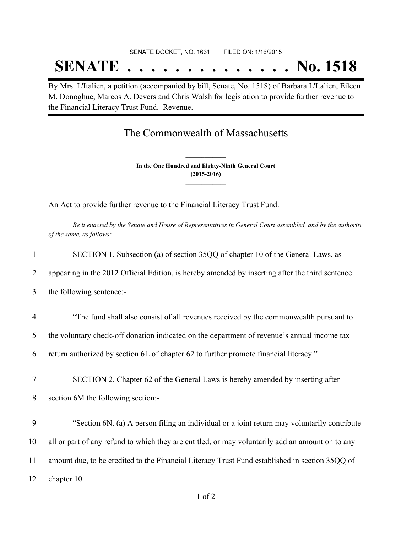# SENATE DOCKET, NO. 1631 FILED ON: 1/16/2015 **SENATE . . . . . . . . . . . . . . No. 1518**

By Mrs. L'Italien, a petition (accompanied by bill, Senate, No. 1518) of Barbara L'Italien, Eileen M. Donoghue, Marcos A. Devers and Chris Walsh for legislation to provide further revenue to the Financial Literacy Trust Fund. Revenue.

## The Commonwealth of Massachusetts

**In the One Hundred and Eighty-Ninth General Court (2015-2016) \_\_\_\_\_\_\_\_\_\_\_\_\_\_\_**

**\_\_\_\_\_\_\_\_\_\_\_\_\_\_\_**

An Act to provide further revenue to the Financial Literacy Trust Fund.

Be it enacted by the Senate and House of Representatives in General Court assembled, and by the authority *of the same, as follows:*

| $\mathbf{1}$   | SECTION 1. Subsection (a) of section 35QQ of chapter 10 of the General Laws, as                  |
|----------------|--------------------------------------------------------------------------------------------------|
| 2              | appearing in the 2012 Official Edition, is hereby amended by inserting after the third sentence  |
| 3              | the following sentence:-                                                                         |
| $\overline{4}$ | "The fund shall also consist of all revenues received by the commonwealth pursuant to            |
| 5              | the voluntary check-off donation indicated on the department of revenue's annual income tax      |
| 6              | return authorized by section 6L of chapter 62 to further promote financial literacy."            |
| $\tau$         | SECTION 2. Chapter 62 of the General Laws is hereby amended by inserting after                   |
| 8              | section 6M the following section:-                                                               |
| 9              | "Section 6N. (a) A person filing an individual or a joint return may voluntarily contribute      |
| 10             | all or part of any refund to which they are entitled, or may voluntarily add an amount on to any |
| 11             | amount due, to be credited to the Financial Literacy Trust Fund established in section 35QQ of   |
| 12             | chapter 10.                                                                                      |